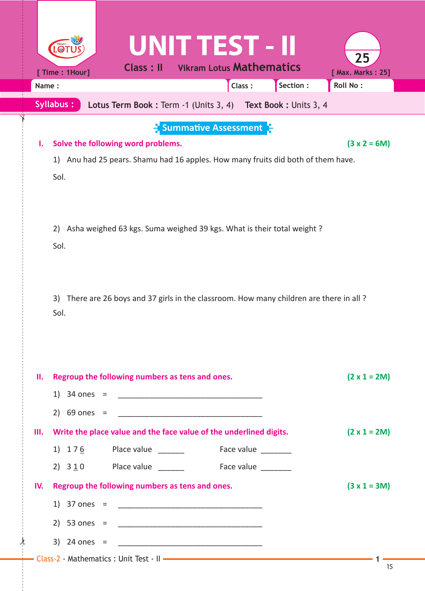| Name: | <b>UNIT TEST - II</b><br>$\bullet$<br><b>Vikram Lotus Mathematics</b><br><b>Class: II</b><br>[ Time: 1Hour]<br>Section :<br>Class:                                                        | 25<br>[ Max. Marks: 25]<br>Roll No: |
|-------|-------------------------------------------------------------------------------------------------------------------------------------------------------------------------------------------|-------------------------------------|
|       | <b>Syllabus:</b><br>Lotus Term Book: Term -1 (Units 3, 4) Text Book: Units 3, 4                                                                                                           |                                     |
| ı.    | $\frac{1}{2}$ Summative Assessment $\frac{1}{2}$<br>Solve the following word problems.<br>Anu had 25 pears. Shamu had 16 apples. How many fruits did both of them have.<br>1)<br>Sol.     | $(3 x 2 = 6M)$                      |
|       | Asha weighed 63 kgs. Suma weighed 39 kgs. What is their total weight?<br>2)<br>Sol.<br>There are 26 boys and 37 girls in the classroom. How many children are there in all?<br>3)<br>Sol. |                                     |
| н.    | Regroup the following numbers as tens and ones.<br>2) $69$ ones =                                                                                                                         | $(2 \times 1 = 2M)$                 |
| Ш.    | Write the place value and the face value of the underlined digits.<br>Place value<br>Face value<br>1) $176$<br>Face value ________<br>2) $3\underline{1}0$ Place value _______            | $(2 \times 1 = 2M)$                 |
| IV.   | Regroup the following numbers as tens and ones.<br>1) 37 ones =<br>3) 24 ones =                                                                                                           | $(3 x 1 = 3M)$                      |

 $\star$ 

✁